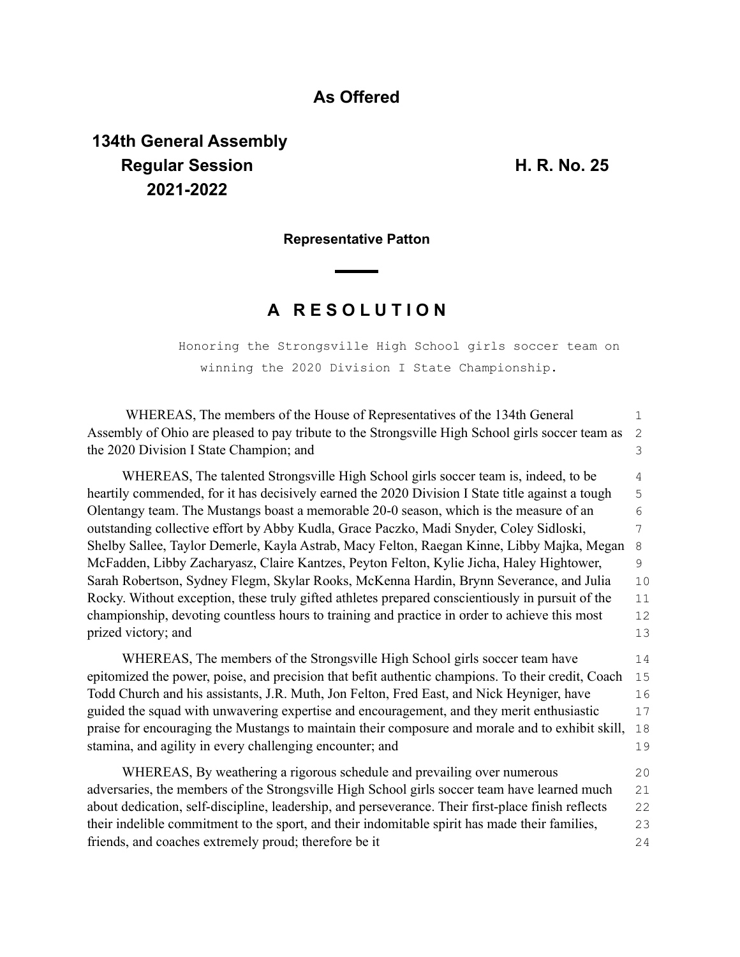### **As Offered**

# **134th General Assembly Regular Session H. R. No. 25 2021-2022**

#### **Representative Patton**

## **A R E S O L U T I O N**

Honoring the Strongsville High School girls soccer team on winning the 2020 Division I State Championship.

| WHEREAS, The members of the House of Representatives of the 134th General                                | $\mathbf 1$ |  |  |  |
|----------------------------------------------------------------------------------------------------------|-------------|--|--|--|
| Assembly of Ohio are pleased to pay tribute to the Strongsville High School girls soccer team as<br>2    |             |  |  |  |
| the 2020 Division I State Champion; and                                                                  | 3           |  |  |  |
| WHEREAS, The talented Strongsville High School girls soccer team is, indeed, to be                       | 4           |  |  |  |
| heartily commended, for it has decisively earned the 2020 Division I State title against a tough         |             |  |  |  |
| Olentangy team. The Mustangs boast a memorable 20-0 season, which is the measure of an                   |             |  |  |  |
| outstanding collective effort by Abby Kudla, Grace Paczko, Madi Snyder, Coley Sidloski,                  |             |  |  |  |
| Shelby Sallee, Taylor Demerle, Kayla Astrab, Macy Felton, Raegan Kinne, Libby Majka, Megan<br>8          |             |  |  |  |
| McFadden, Libby Zacharyasz, Claire Kantzes, Peyton Felton, Kylie Jicha, Haley Hightower,<br>9            |             |  |  |  |
| Sarah Robertson, Sydney Flegm, Skylar Rooks, McKenna Hardin, Brynn Severance, and Julia                  | 10          |  |  |  |
| Rocky. Without exception, these truly gifted athletes prepared conscientiously in pursuit of the         | 11          |  |  |  |
| championship, devoting countless hours to training and practice in order to achieve this most<br>12      |             |  |  |  |
| prized victory; and                                                                                      | 13          |  |  |  |
| WHEREAS, The members of the Strongsville High School girls soccer team have                              | 14          |  |  |  |
| epitomized the power, poise, and precision that befit authentic champions. To their credit, Coach<br>15  |             |  |  |  |
| Todd Church and his assistants, J.R. Muth, Jon Felton, Fred East, and Nick Heyniger, have<br>16          |             |  |  |  |
| guided the squad with unwavering expertise and encouragement, and they merit enthusiastic                | 17          |  |  |  |
| praise for encouraging the Mustangs to maintain their composure and morale and to exhibit skill,         | 18          |  |  |  |
| stamina, and agility in every challenging encounter; and                                                 | 19          |  |  |  |
| WHEREAS, By weathering a rigorous schedule and prevailing over numerous                                  | 20          |  |  |  |
| adversaries, the members of the Strongsville High School girls soccer team have learned much             | 21          |  |  |  |
| about dedication, self-discipline, leadership, and perseverance. Their first-place finish reflects<br>22 |             |  |  |  |
| their indelible commitment to the sport, and their indomitable spirit has made their families,<br>23     |             |  |  |  |
| friends, and coaches extremely proud; therefore be it                                                    | 24          |  |  |  |